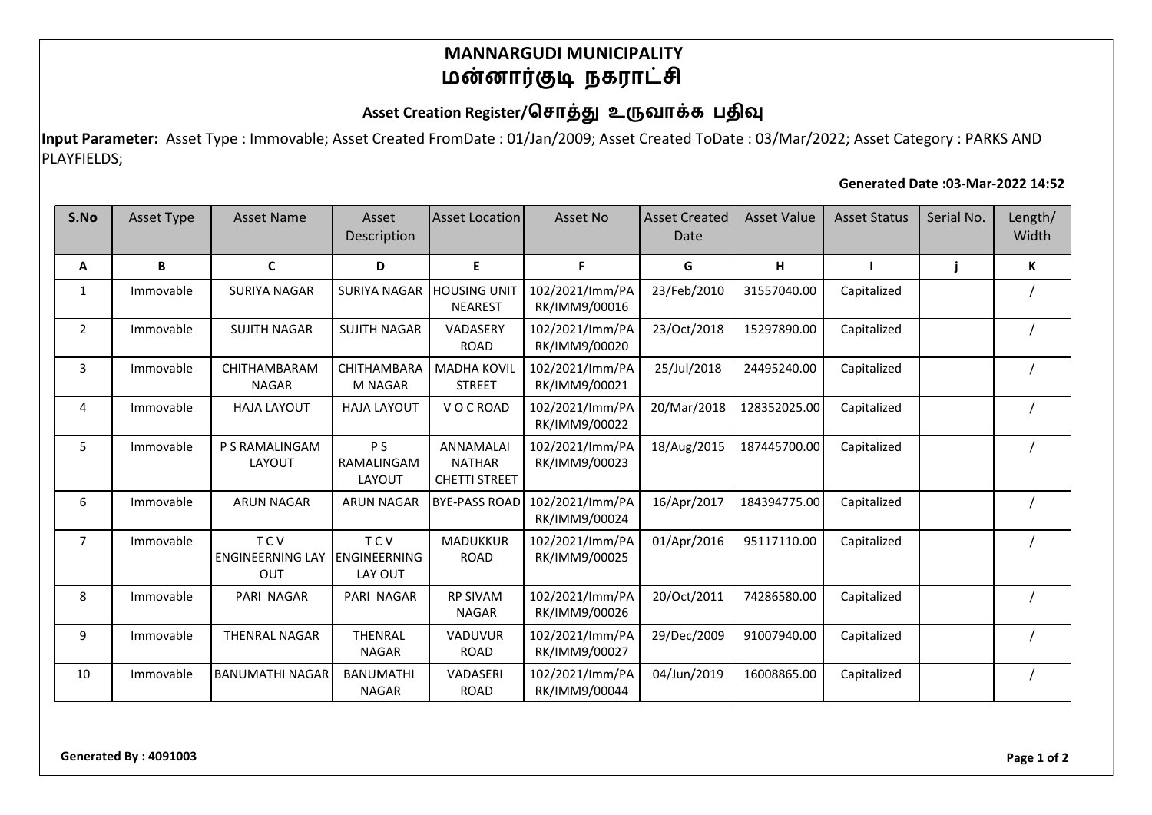### **MANNARGUDI MUNICIPALITY** மன்னார்குடி நகராட்சி

## Asset Creation Register/சொத்து உருவாக்க பதிவு

**Input Parameter:** Asset Type : Immovable; Asset Created FromDate : 01/Jan/2009; Asset Created ToDate : 03/Mar/2022; Asset Category : PARKS AND PLAYFIELDS;

#### **Generated Date :03-Mar-2022 14:52**

| S.No           | <b>Asset Type</b> | <b>Asset Name</b>                            | Asset<br>Description                         | <b>Asset Location</b>                                     | Asset No                         | <b>Asset Created</b><br>Date | <b>Asset Value</b> | <b>Asset Status</b> | Serial No. | Length/<br>Width |
|----------------|-------------------|----------------------------------------------|----------------------------------------------|-----------------------------------------------------------|----------------------------------|------------------------------|--------------------|---------------------|------------|------------------|
| Α              | B                 | $\mathbf{C}$                                 | D                                            | E                                                         | F.                               | G                            | н                  |                     |            | К                |
| 1              | Immovable         | <b>SURIYA NAGAR</b>                          | <b>SURIYA NAGAR</b>                          | <b>HOUSING UNIT</b><br><b>NEAREST</b>                     | 102/2021/lmm/PA<br>RK/IMM9/00016 | 23/Feb/2010                  | 31557040.00        | Capitalized         |            |                  |
| $\overline{2}$ | Immovable         | <b>SUJITH NAGAR</b>                          | <b>SUJITH NAGAR</b>                          | VADASERY<br><b>ROAD</b>                                   | 102/2021/lmm/PA<br>RK/IMM9/00020 | 23/Oct/2018                  | 15297890.00        | Capitalized         |            |                  |
| 3              | Immovable         | CHITHAMBARAM<br><b>NAGAR</b>                 | CHITHAMBARA<br><b>M NAGAR</b>                | <b>MADHA KOVIL</b><br><b>STREET</b>                       | 102/2021/lmm/PA<br>RK/IMM9/00021 | 25/Jul/2018                  | 24495240.00        | Capitalized         |            |                  |
| 4              | Immovable         | <b>HAJA LAYOUT</b>                           | <b>HAJA LAYOUT</b>                           | VOCROAD                                                   | 102/2021/lmm/PA<br>RK/IMM9/00022 | 20/Mar/2018                  | 128352025.00       | Capitalized         |            |                  |
| 5              | Immovable         | P S RAMALINGAM<br>LAYOUT                     | P <sub>S</sub><br>RAMALINGAM<br>LAYOUT       | <b>ANNAMALAI</b><br><b>NATHAR</b><br><b>CHETTI STREET</b> | 102/2021/lmm/PA<br>RK/IMM9/00023 | 18/Aug/2015                  | 187445700.00       | Capitalized         |            |                  |
| 6              | Immovable         | <b>ARUN NAGAR</b>                            | <b>ARUN NAGAR</b>                            | <b>BYE-PASS ROAD</b>                                      | 102/2021/lmm/PA<br>RK/IMM9/00024 | 16/Apr/2017                  | 184394775.00       | Capitalized         |            |                  |
| $\overline{7}$ | Immovable         | <b>TCV</b><br><b>ENGINEERNING LAY</b><br>OUT | <b>TCV</b><br><b>ENGINEERNING</b><br>LAY OUT | <b>MADUKKUR</b><br><b>ROAD</b>                            | 102/2021/lmm/PA<br>RK/IMM9/00025 | 01/Apr/2016                  | 95117110.00        | Capitalized         |            |                  |
| 8              | Immovable         | PARI NAGAR                                   | PARI NAGAR                                   | <b>RP SIVAM</b><br><b>NAGAR</b>                           | 102/2021/lmm/PA<br>RK/IMM9/00026 | 20/Oct/2011                  | 74286580.00        | Capitalized         |            |                  |
| 9              | Immovable         | <b>THENRAL NAGAR</b>                         | <b>THENRAL</b><br><b>NAGAR</b>               | VADUVUR<br><b>ROAD</b>                                    | 102/2021/lmm/PA<br>RK/IMM9/00027 | 29/Dec/2009                  | 91007940.00        | Capitalized         |            |                  |
| 10             | Immovable         | <b>BANUMATHI NAGAR</b>                       | <b>BANUMATHI</b><br><b>NAGAR</b>             | <b>VADASERI</b><br><b>ROAD</b>                            | 102/2021/lmm/PA<br>RK/IMM9/00044 | 04/Jun/2019                  | 16008865.00        | Capitalized         |            |                  |